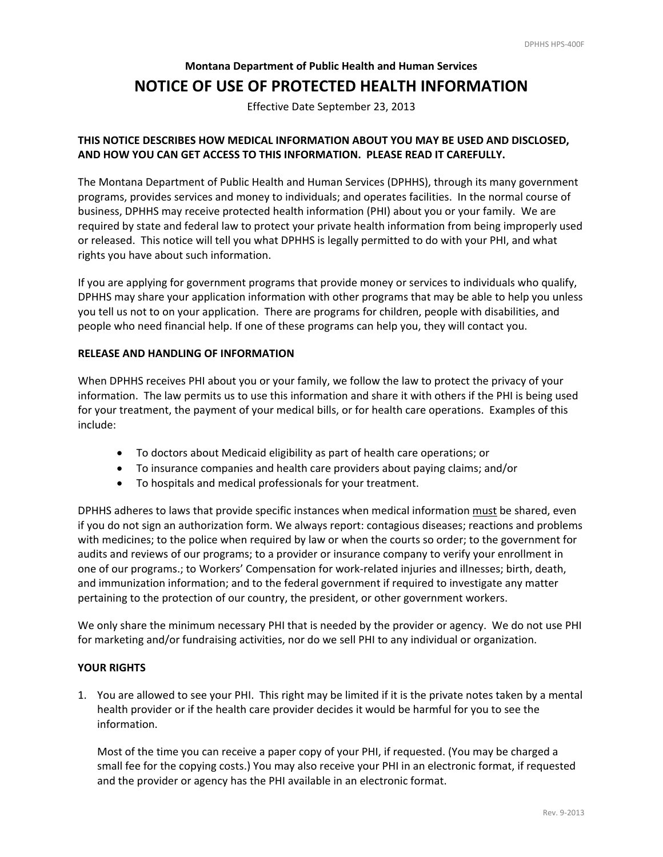## **Montana Department of Public Health and Human Services NOTICE OF USE OF PROTECTED HEALTH INFORMATION**

Effective Date September 23, 2013

## **THIS NOTICE DESCRIBES HOW MEDICAL INFORMATION ABOUT YOU MAY BE USED AND DISCLOSED, AND HOW YOU CAN GET ACCESS TO THIS INFORMATION. PLEASE READ IT CAREFULLY.**

 The Montana Department of Public Health and Human Services (DPHHS), through its many government programs, provides services and money to individuals; and operates facilities. In the normal course of business, DPHHS may receive protected health information (PHI) about you or your family. We are required by state and federal law to protect your private health information from being improperly used or released. This notice will tell you what DPHHS is legally permitted to do with your PHI, and what rights you have about such information.

 If you are applying for government programs that provide money or services to individuals who qualify, DPHHS may share your application information with other programs that may be able to help you unless you tell us not to on your application. There are programs for children, people with disabilities, and people who need financial help. If one of these programs can help you, they will contact you.

## **RELEASE AND HANDLING OF INFORMATION**

 When DPHHS receives PHI about you or your family, we follow the law to protect the privacy of your information. The law permits us to use this information and share it with others if the PHI is being used for your treatment, the payment of your medical bills, or for health care operations. Examples of this include:

- To doctors about Medicaid eligibility as part of health care operations; or
- To insurance companies and health care providers about paying claims; and/or
- To hospitals and medical professionals for your treatment.

DPHHS adheres to laws that provide specific instances when medical information must be shared, even if you do not sign an authorization form. We always report: contagious diseases; reactions and problems with medicines; to the police when required by law or when the courts so order; to the government for audits and reviews of our programs; to a provider or insurance company to verify your enrollment in one of our programs.; to Workers' Compensation for work‐related injuries and illnesses; birth, death, and immunization information; and to the federal government if required to investigate any matter pertaining to the protection of our country, the president, or other government workers.

 We only share the minimum necessary PHI that is needed by the provider or agency. We do not use PHI for marketing and/or fundraising activities, nor do we sell PHI to any individual or organization.

## **YOUR RIGHTS**

1. You are allowed to see your PHI. This right may be limited if it is the private notes taken by a mental health provider or if the health care provider decides it would be harmful for you to see the information.

 Most of the time you can receive a paper copy of your PHI, if requested. (You may be charged a small fee for the copying costs.) You may also receive your PHI in an electronic format, if requested and the provider or agency has the PHI available in an electronic format.